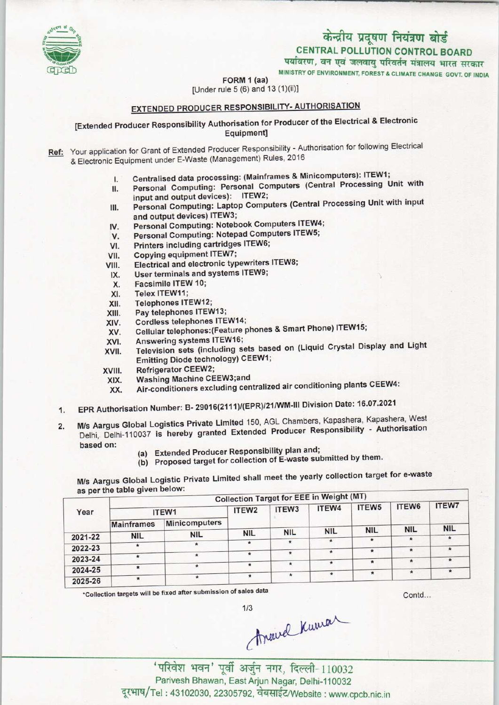# MINIST<br>पर्यावरण , र<br>MINISTRY OF EN<br>(1)(ii)1

CENTRAL POLLUTION CONTROL BOARD

पर्यावरण, वन एवं जलवायु परिवर्तन मंत्रालय भारत सरकार

TRY OF ENVIRONMENT, FOREST & CLIMATE CHANGE GOVT. OF INDIA

## $\frac{1}{2}$ <br>FORM 1 (aa)<br>dle 5 (6) and 13 (1)(ii [Under rule 5 (6) and 13 (1)(ii)]

### EXTENDED PRODUCER RESPONSIBILITY- AUTHORISATION

#### [Extended Producer Responsibility Authorisation for Producer of the Electrical & Electronic Equipment]

Ref: Your application for Grant of Extended Producer Responsibility - Authorisation for following Electrical & Electronic Equipment under E-Waste (Management) Rules, 2016

- 
- I. Centralised data processing: (Mainframes & Minicomputers): ITEW1;<br>II. Personal Computing: Personal Computers (Central Processing U Personal Computing: Personal Computers (Central Processing Unit with input and output devices): ITEW2;
- input and output devices): Themest<br>
III. Personal Computing: Laptop Computers (Central Processing Unit with input<br>
IV. Personal Computing: Notebook Computers ITEW4;<br>
IV. Personal Computing: Notebook Computers ITEW4; and output devices) ITEW3; and output devices) ITEW3;<br>V. Personal Computing: Notebook Computers ITEW-<br>V. Personal Computing: Notepad Computers ITEW5;
- IV. Personal Computing: Notebook Con<br>V. Personal Computing: Notepad Comp<br>VI. Printers including cartridges ITEW6;
- 
- VI. Printers including cartridges ITEW6;<br>VII. Copying equipment ITEW7;
- 
- VI. Printers including cartridges ITEW6;<br>VII. Copying equipment ITEW7;<br>VIII. Electrical and electronic typewriters ITEW8; VII. Copying equipment ITEW7;<br>III. Electrical and electronic typewriters<br>IX. User terminals and systems ITEW9;
- VIII. Electrical and electronic typewriters<br>IX. User terminals and systems ITEW9;<br>X. Facsimile ITEW 10;<br>XI. Telex ITEW11;
	-
- X. User terminals<br>X. Facsimile ITEV<br>XI. Telex ITEW11;<br>XII. Telephones IT
- X. Facsimile ITEW 10;<br>XI. Telex ITEW11;<br>XII. Telephones ITEW12;<br>XIII. Pay telephones ITEV
- 
- XII. Telephones ITEW12;<br>XIII. Pay telephones ITEW13;<br>XIV. Cordless telephones ITE
- XIV. Cordless telephones ITEW14;<br>XV. Cellular telephones:(Feature p XIV. Cordless telephones ITEW14;<br>XV. Cellular telephones:(Feature phones & Smart Phone) ITEW15;<br>XVI. Answering systems ITEW16;<br>XVII. Television sets (including sets based on (Liquid Crystal Di
- 
- XVI. Answering systems ITEW16;<br>XVII. Television sets (including sets based on (Liquid Crystal Display and Light Emitting Diode technology) CEEW1;
- XVIII. Refrigerator CEEW2;
- XIX. Washing MachineCEEW3;and
- XX. Air-conditioners excluding centralized air conditioning plants CEEW4:
- XIX. Washing Machine Occupation<br>XX. Air-conditioners excluding centralized air conditioning plants CEEW<br>1. EPR Authorisation Number: B- 29016(2111)/(EPR)/21/WM-III Division Date: 16.07.2021
- 2. EPR Authorisation Number: B- 29016(2111)/(EPR)/21/WM-III Division Date: 16.07.2021<br>2. M/s Aargus Global Logistics Private Limited 150, AGL Chambers, Kapashera, Kapashera, West Ms Aargus Global Logistics Private Limited 150, AGL Chambers, Rapashera, Repashera, Pros.<br>Delhi-Delhi-110037 is hereby granted Extended Producer Responsibility - Authorisation M/s Aargus Global Logistics Private Limited 150, AGL Chambers<br>
Delhi, Delhi-110037 is hereby granted Extended Producer Represent to the based on:<br>
(a) Extended Producer Responsibility plan and;<br>
(b) Proposed target for col
	-
	- (a) Extended Producer Responsibility plan and;<br>(b) Proposed target for collection of E-waste submitted by them.

M/s Aargus Global Logistic Private Limited shall meet the yearly collection target for e-waste as per the table given below:

|         | as per the table given below. |               |                   | <b>Collection Target for EEE in Weight (MT)</b> |            |                   |              |              |
|---------|-------------------------------|---------------|-------------------|-------------------------------------------------|------------|-------------------|--------------|--------------|
| Year    |                               | ITEW1         | ITEW <sub>2</sub> | ITEW <sub>3</sub>                               | ITEW4      | ITEW <sub>5</sub> | ITEW6        | <b>ITEW7</b> |
|         | <b>Mainframes</b>             | Minicomputers |                   |                                                 |            |                   |              |              |
|         |                               | <b>NIL</b>    | <b>NIL</b>        | <b>NIL</b>                                      | <b>NIL</b> | <b>NIL</b>        | <b>NIL</b>   | <b>NIL</b>   |
| 2021-22 | <b>NIL</b>                    |               |                   | $\star$                                         | $\ast$     |                   | $\star$      |              |
| 2022-23 |                               | $\star$       | $\star$           |                                                 |            |                   | $\star$      | $\star$      |
|         |                               | $\star$       | $\ast$            | $\star$                                         | $\star$    |                   |              |              |
| 2023-24 |                               |               | $\star$           | $\ast$                                          |            | $\star$           | $\pmb{\ast}$ | $\star$      |
| 2024-25 |                               | $*$           |                   |                                                 | $\star$    |                   | $\star$      | $\star$      |
| 2025-26 |                               | $\star$       |                   | $\star$                                         |            |                   |              |              |

\*Collection targets will be fixed after submission of sales data

Contd...

Travel Kuman

'परिवेश भवन' पूर्वी अर्जुन नगर, दिल्ली-110032 Parivesh Bhawan, East Arjun Nagar, Delhi-110032 दूरभाष/Tel: 43102030, 22305792, वेबसाईट/Website : www.cpcb.nic.in

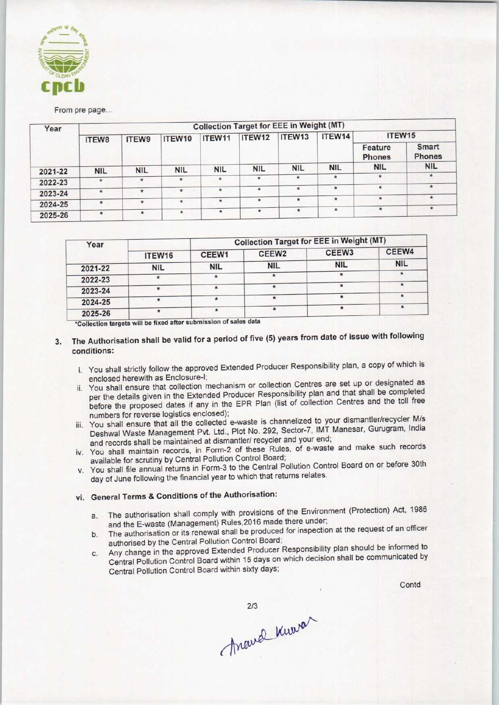

From pre page...

| Year    | <b>Collection Target for EEE in Weight (MT)</b> |               |                |            |            |                                   |                          |                          |                               |  |
|---------|-------------------------------------------------|---------------|----------------|------------|------------|-----------------------------------|--------------------------|--------------------------|-------------------------------|--|
|         | ITEW8                                           | <b>ITEW9</b>  | ITEW10         | ITEW11     | ITEW12     | ITEW13                            | ITEW14                   | ITEW15                   |                               |  |
|         |                                                 |               |                |            |            |                                   |                          | Feature<br><b>Phones</b> | <b>Smart</b><br><b>Phones</b> |  |
| 2021-22 | <b>NIL</b>                                      | <b>NIL</b>    | <b>NIL</b>     | <b>NIL</b> | <b>NIL</b> | <b>NIL</b>                        | <b>NIL</b>               | <b>NIL</b>               | <b>NIL</b>                    |  |
| 2022-23 | Ħ.                                              | $\frac{1}{2}$ | $\frac{1}{24}$ | $\star$    | $\star$    | $\frac{d\mathbf{r}}{d\mathbf{r}}$ | $\star$                  | $\star$                  | *                             |  |
|         | $\pi$                                           | $\star$       | $\star$        | $\star$    | 壹          | 金                                 | $\star$                  | $\star$                  | $\star$                       |  |
| 2023-24 |                                                 |               |                |            |            | $\star$                           | $\star$                  | $\star$                  | $\star$                       |  |
| 2024-25 | $\star$                                         | ÷             | $\star$        | $\dot{w}$  | $\star$    |                                   |                          |                          |                               |  |
| 2025-26 | $\star$                                         | $\ast$        | $\star$        | $\star$    | $\star$    | $\star$                           | $\boldsymbol{\hat{\pi}}$ | $\star$                  | $\star$                       |  |

| Year    |            | <b>Collection Target for EEE in Weight (MT)</b> |                   |                   |            |  |  |
|---------|------------|-------------------------------------------------|-------------------|-------------------|------------|--|--|
|         | ITEW16     | CEEW1                                           | CEEW <sub>2</sub> | CEEW <sub>3</sub> | CEEW4      |  |  |
| 2021-22 | <b>NIL</b> | <b>NIL</b>                                      | <b>NIL</b>        | <b>NIL</b>        | <b>NIL</b> |  |  |
| 2022-23 |            |                                                 |                   |                   |            |  |  |
| 2023-24 |            |                                                 |                   |                   |            |  |  |
| 2024-25 |            |                                                 |                   |                   |            |  |  |
| 2025-26 |            |                                                 |                   |                   |            |  |  |

will be fixed after submission of sales data •Collection targets

- 3. The Authorisation shall be valid for a period of five (5) years from date of issue with following conditions:
	- i. You shall strictly follow the approved Extended Producer Responsibility plan, a copy of which is enclosed herewith as Enciosure-I;
	- ii. You shall ensure that collection mechanism or collection Centres are set up or designated as per the details given in the Extended Producer Responsibility plan and that shall be completed before the proposed dates if any in the EPR Plan (list of collection Centres and the toll free numbers for reverse logistics enclosed);
	- iii. You shall ensure that all the collected e-waste is channelized to your dismantler/recycler M/s Deshwal Waste Management Pvt. Ltd., Plot No. 292, Sector-7, IMT Manesar, Gurugram, India and records shall be maintained at dismantler/ recycler and your end;
	- iv. You shall maintain records, in Form-2 of these Rules, of e-waste and make such records available for scrutiny by Central Pollution Control Board;
	- v. You shall file annual returns in Form-3 to the Central Pollution Control Board on or before 30th day of June following the financial year to which that returns relates.

#### vi. General Terms & Conditions of the Authorisation:

- a.The authorisation shall comply with provisions of the Environment (Protection) Act, <sup>1986</sup> and the E-waste (Management) Rules, 2016 made there under;
- b. The authorisation or its renewal shall be produced for inspection at the request of an officer authorised by the Central Pollution Control Board;
- c.Any change in the approved Extended Producer Responsibility plan should be informed to Central Pollution Control Board within 15 days on which decision shall be communicated by Central Pollution Control Board within sixty days;

Contd

march Kurrer